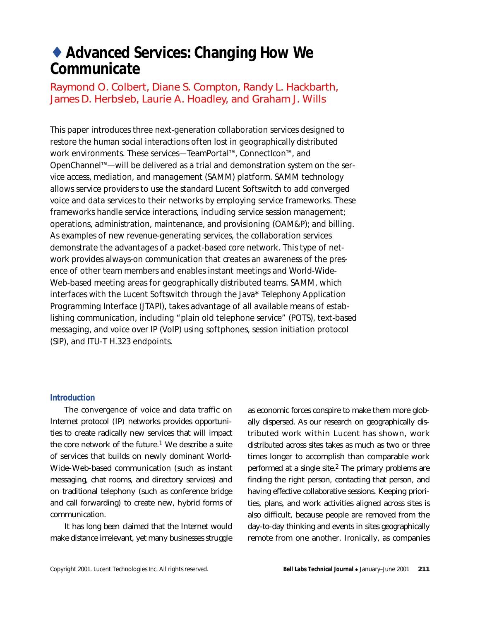# ♦ **Advanced Services: Changing How We Communicate**

*Raymond O. Colbert, Diane S. Compton, Randy L. Hackbarth, James D. Herbsleb, Laurie A. Hoadley, and Graham J. Wills*

*This paper introduces three next-generation collaboration services designed to restore the human social interactions often lost in geographically distributed work environments. These services—TeamPortal*†*, ConnectIcon*†*, and OpenChannel*†*—will be delivered as a trial and demonstration system on the service access, mediation, and management (SAMM) platform. SAMM technology allows service providers to use the standard Lucent Softswitch to add converged voice and data services to their networks by employing service frameworks. These frameworks handle service interactions, including service session management; operations, administration, maintenance, and provisioning (OAM&P); and billing. As examples of new revenue-generating services, the collaboration services demonstrate the advantages of a packet-based core network. This type of network provides always-on communication that creates an awareness of the presence of other team members and enables instant meetings and World-Wide-Web-based meeting areas for geographically distributed teams. SAMM, which interfaces with the Lucent Softswitch through the Java\* Telephony Application Programming Interface (JTAPI), takes advantage of all available means of establishing communication, including "plain old telephone service" (POTS), text-based messaging, and voice over IP (VoIP) using softphones, session initiation protocol (SIP), and ITU-T H.323 endpoints.*

## **Introduction**

The convergence of voice and data traffic on Internet protocol (IP) networks provides opportunities to create radically new services that will impact the core network of the future.<sup>1</sup> We describe a suite of services that builds on newly dominant World-Wide-Web-based communication (such as instant messaging, chat rooms, and directory services) and on traditional telephony (such as conference bridge and call forwarding) to create new, hybrid forms of communication.

It has long been claimed that the Internet would make distance irrelevant, yet many businesses struggle

as economic forces conspire to make them more globally dispersed. As our research on geographically distributed work within Lucent has shown, work distributed across sites takes as much as two or three times longer to accomplish than comparable work performed at a single site. <sup>2</sup> The primary problems are finding the right person, contacting that person, and having effective collaborative sessions. Keeping priorities, plans, and work activities aligned across sites is also difficult, because people are removed from the day-to-day thinking and events in sites geographically remote from one another. Ironically, as companies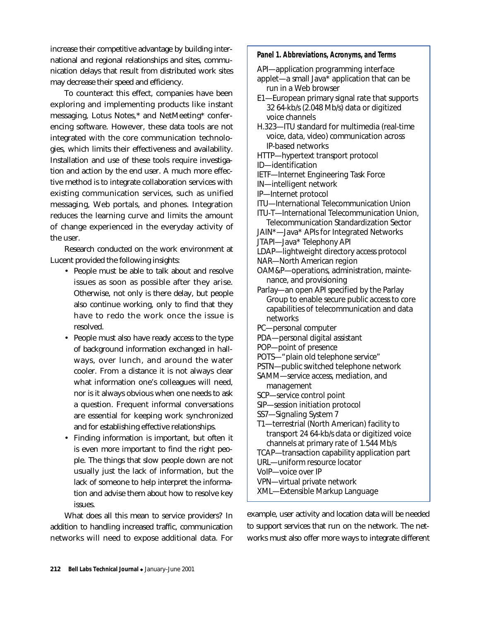increase their competitive advantage by building international and regional relationships and sites, communication delays that result from distributed work sites may decrease their speed and efficiency.

To counteract this effect, companies have been exploring and implementing products like instant messaging, Lotus Notes,\* and NetMeeting\* conferencing software. However, these data tools are not integrated with the core communication technologies, which limits their effectiveness and availability. Installation and use of these tools require investigation and action by the end user. A much more effective method is to integrate collaboration services with existing communication services, such as unified messaging, Web portals, and phones. Integration reduces the learning curve and limits the amount of change experienced in the everyday activity of the user.

Research conducted on the work environment at Lucent provided the following insights:

- People must be able to talk about and resolve issues as soon as possible after they arise. Otherwise, not only is there delay, but people also continue working, only to find that they have to redo the work once the issue is resolved.
- People must also have ready access to the type of background information exchanged in hallways, over lunch, and around the water cooler. From a distance it is not always clear what information one's colleagues will need, nor is it always obvious when one needs to ask a question. Frequent informal conversations are essential for keeping work synchronized and for establishing effective relationships.
- Finding information is important, but often it is even more important to find the right people. The things that slow people down are not usually just the lack of information, but the lack of someone to help interpret the information and advise them about how to resolve key issues.

What does all this mean to service providers? In addition to handling increased traffic, communication networks will need to expose additional data. For **Panel 1. Abbreviations, Acronyms, and Terms**

- API—application programming interface applet—a small Java\* application that can be run in a Web browser
- E1—European primary signal rate that supports 32 64-kb/s (2.048 Mb/s) data or digitized voice channels

H.323—ITU standard for multimedia (real-time voice, data, video) communication across IP-based networks

HTTP—hypertext transport protocol

ID—identification

IETF—Internet Engineering Task Force

IN—intelligent network

- IP—Internet protocol ITU—International Telecommunication Union
- ITU-T—International Telecommunication Union,

Telecommunication Standardization Sector JAIN\*—Java\* APIs for Integrated Networks

JTAPI—Java\* Telephony API

LDAP—lightweight directory access protocol NAR—North American region

- OAM&P—operations, administration, maintenance, and provisioning
- Parlay—an open API specified by the Parlay Group to enable secure public access to core capabilities of telecommunication and data networks
- PC—personal computer
- PDA—personal digital assistant

POP—point of presence

- POTS—"plain old telephone service"
- PSTN—public switched telephone network
- SAMM—service access, mediation, and management
- SCP—service control point
- SIP—session initiation protocol
- SS7—Signaling System 7
- T1—terrestrial (North American) facility to transport 24 64-kb/s data or digitized voice channels at primary rate of 1.544 Mb/s

TCAP—transaction capability application part

URL—uniform resource locator

VoIP—voice over IP

- VPN—virtual private network
- XML—Extensible Markup Language

example, user activity and location data will be needed to support services that run on the network. The networks must also offer more ways to integrate different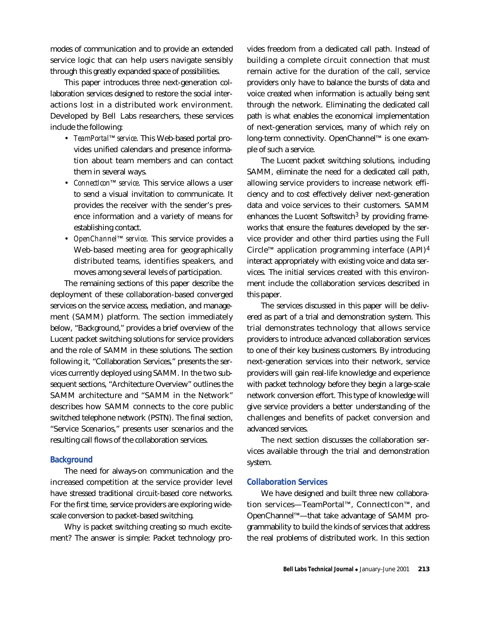modes of communication and to provide an extended service logic that can help users navigate sensibly through this greatly expanded space of possibilities.

This paper introduces three next-generation collaboration services designed to restore the social interactions lost in a distributed work environment. Developed by Bell Labs researchers, these services include the following:

- *TeamPortal™ service*. This Web-based portal provides unified calendars and presence information about team members and can contact them in several ways.
- *ConnectIcon*<sup>™</sup> *service*. This service allows a user to send a visual invitation to communicate. It provides the receiver with the sender's presence information and a variety of means for establishing contact.
- *OpenChannel<sup>™</sup> service*. This service provides a Web-based meeting area for geographically distributed teams, identifies speakers, and moves among several levels of participation.

The remaining sections of this paper describe the deployment of these collaboration-based converged services on the service access, mediation, and management (SAMM) platform. The section immediately below, "Background," provides a brief overview of the Lucent packet switching solutions for service providers and the role of SAMM in these solutions. The section following it, "Collaboration Services," presents the services currently deployed using SAMM. In the two subsequent sections, "Architecture Overview" outlines the SAMM architecture and "SAMM in the Network" describes how SAMM connects to the core public switched telephone network (PSTN). The final section, "Service Scenarios," presents user scenarios and the resulting call flows of the collaboration services.

#### **Background**

The need for always-on communication and the increased competition at the service provider level have stressed traditional circuit-based core networks. For the first time, service providers are exploring widescale conversion to packet-based switching.

Why is packet switching creating so much excitement? The answer is simple: Packet technology provides freedom from a dedicated call path. Instead of building a complete circuit connection that must remain active for the duration of the call, service providers only have to balance the bursts of data and voice created when information is actually being sent through the network. Eliminating the dedicated call path is what enables the economical implementation of next-generation services, many of which rely on long-term connectivity. OpenChannel<sup>™</sup> is one example of such a service.

The Lucent packet switching solutions, including SAMM, eliminate the need for a dedicated call path, allowing service providers to increase network efficiency and to cost effectively deliver next-generation data and voice services to their customers. SAMM enhances the Lucent Softswitch<sup>3</sup> by providing frameworks that ensure the features developed by the service provider and other third parties using the Full Circle<sup>™</sup> application programming interface  $(API)^4$ interact appropriately with existing voice and data services. The initial services created with this environment include the collaboration services described in this paper.

The services discussed in this paper will be delivered as part of a trial and demonstration system. This trial demonstrates technology that allows service providers to introduce advanced collaboration services to one of their key business customers. By introducing next-generation services into their network, service providers will gain real-life knowledge and experience with packet technology before they begin a large-scale network conversion effort. This type of knowledge will give service providers a better understanding of the challenges and benefits of packet conversion and advanced services.

The next section discusses the collaboration services available through the trial and demonstration system.

## **Collaboration Services**

We have designed and built three new collaboration services—TeamPortal™, ConnectIcon™, and OpenChannel<sup>™</sup>—that take advantage of SAMM programmability to build the kinds of services that address the real problems of distributed work. In this section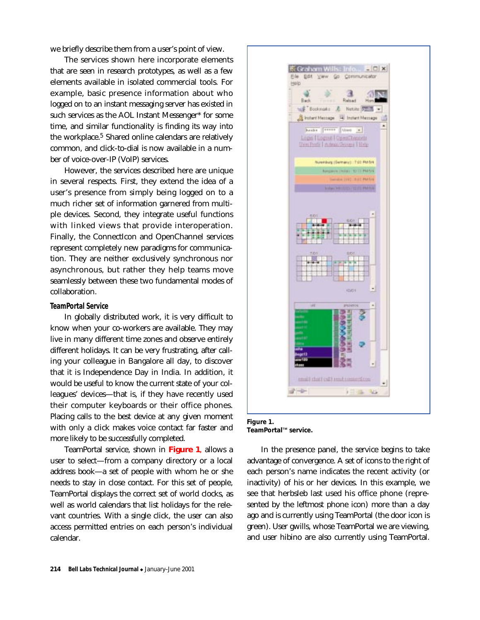we briefly describe them from a user's point of view.

The services shown here incorporate elements that are seen in research prototypes, as well as a few elements available in isolated commercial tools. For example, basic presence information about who logged on to an instant messaging server has existed in such services as the AOL Instant Messenger\* for some time, and similar functionality is finding its way into the workplace.<sup>5</sup> Shared online calendars are relatively common, and click-to-dial is now available in a number of voice-over-IP (VoIP) services.

However, the services described here are unique in several respects. First, they extend the idea of a user's presence from simply being logged on to a much richer set of information garnered from multiple devices. Second, they integrate useful functions with linked views that provide interoperation. Finally, the ConnectIcon and OpenChannel services represent completely new paradigms for communication. They are neither exclusively synchronous nor asynchronous, but rather they help teams move seamlessly between these two fundamental modes of collaboration.

#### **TeamPortal Service**

In globally distributed work, it is very difficult to know when your co-workers are available. They may live in many different time zones and observe entirely different holidays. It can be very frustrating, after calling your colleague in Bangalore all day, to discover that it is Independence Day in India. In addition, it would be useful to know the current state of your colleagues' devices—that is, if they have recently used their computer keyboards or their office phones. Placing calls to the best device at any given moment with only a click makes voice contact far faster and more likely to be successfully completed.

TeamPortal service, shown in **Figure 1**, allows a user to select—from a company directory or a local address book—a set of people with whom he or she needs to stay in close contact. For this set of people, TeamPortal displays the correct set of world clocks, as well as world calendars that list holidays for the relevant countries. With a single click, the user can also access permitted entries on each person's individual calendar.



*Figure 1. TeamPortal*† *service.*

In the presence panel, the service begins to take advantage of convergence. A set of icons to the right of each person's name indicates the recent activity (or inactivity) of his or her devices. In this example, we see that herbsleb last used his office phone (represented by the leftmost phone icon) more than a day ago and is currently using TeamPortal (the door icon is green). User gwills, whose TeamPortal we are viewing, and user hibino are also currently using TeamPortal.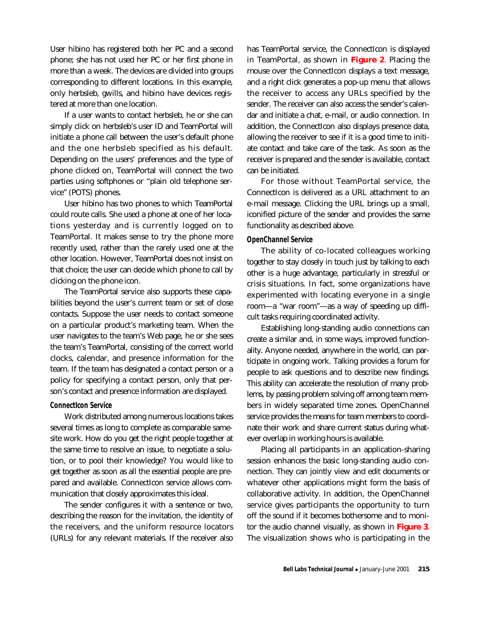User hibino has registered both her PC and a second phone; she has not used her PC or her first phone in more than a week. The devices are divided into groups corresponding to different locations. In this example, only herbsleb, gwills, and hibino have devices registered at more than one location.

If a user wants to contact herbsleb, he or she can simply click on herbsleb's user ID and TeamPortal will initiate a phone call between the user's default phone and the one herbsleb specified as his default. Depending on the users' preferences and the type of phone clicked on, TeamPortal will connect the two parties using softphones or "plain old telephone service" (POTS) phones.

User hibino has two phones to which TeamPortal could route calls. She used a phone at one of her locations yesterday and is currently logged on to TeamPortal. It makes sense to try the phone more recently used, rather than the rarely used one at the other location. However, TeamPortal does not insist on that choice; the user can decide which phone to call by clicking on the phone icon.

The TeamPortal service also supports these capabilities beyond the user's current team or set of close contacts. Suppose the user needs to contact someone on a particular product's marketing team. When the user navigates to the team's Web page, he or she sees the team's TeamPortal, consisting of the correct world clocks, calendar, and presence information for the team. If the team has designated a contact person or a policy for specifying a contact person, only that person's contact and presence information are displayed.

#### **ConnectIcon Service**

Work distributed among numerous locations takes several times as long to complete as comparable samesite work. How do you get the right people together at the same time to resolve an issue, to negotiate a solution, or to pool their knowledge? You would like to get together as soon as all the essential people are prepared and available. ConnectIcon service allows communication that closely approximates this ideal.

The sender configures it with a sentence or two, describing the reason for the invitation, the identity of the receivers, and the uniform resource locators (URLs) for any relevant materials. If the receiver also has TeamPortal service, the ConnectIcon is displayed in TeamPortal, as shown in **Figure 2**. Placing the mouse over the ConnectIcon displays a text message, and a right click generates a pop-up menu that allows the receiver to access any URLs specified by the sender. The receiver can also access the sender's calendar and initiate a chat, e-mail, or audio connection. In addition, the ConnectIcon also displays presence data, allowing the receiver to see if it is a good time to initiate contact and take care of the task. As soon as the receiver is prepared and the sender is available, contact can be initiated.

For those without TeamPortal service, the ConnectIcon is delivered as a URL attachment to an e-mail message. Clicking the URL brings up a small, iconified picture of the sender and provides the same functionality as described above.

#### **OpenChannel Service**

The ability of co-located colleagues working together to stay closely in touch just by talking to each other is a huge advantage, particularly in stressful or crisis situations. In fact, some organizations have experimented with locating everyone in a single room—a "war room"—as a way of speeding up difficult tasks requiring coordinated activity.

Establishing long-standing audio connections can create a similar and, in some ways, improved functionality. Anyone needed, anywhere in the world, can participate in ongoing work. Talking provides a forum for people to ask questions and to describe new findings. This ability can accelerate the resolution of many problems, by passing problem solving off among team members in widely separated time zones. OpenChannel service provides the means for team members to coordinate their work and share current status during whatever overlap in working hours is available.

Placing all participants in an application-sharing session enhances the basic long-standing audio connection. They can jointly view and edit documents or whatever other applications might form the basis of collaborative activity. In addition, the OpenChannel service gives participants the opportunity to turn off the sound if it becomes bothersome and to monitor the audio channel visually, as shown in **Figure 3**. The visualization shows who is participating in the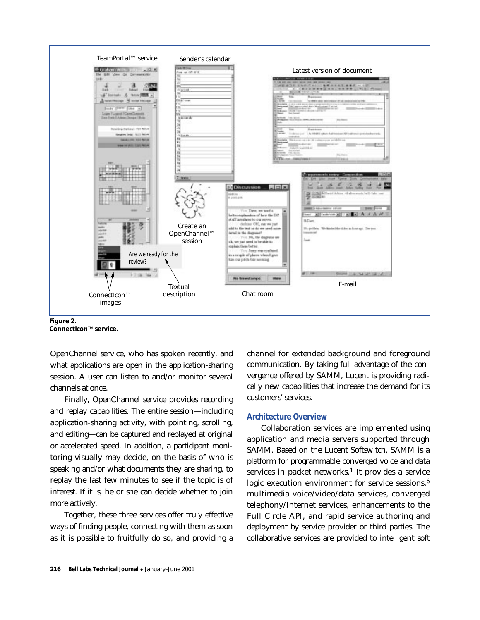

*Figure 2. ConnectIcon*† *service.*

OpenChannel service, who has spoken recently, and what applications are open in the application-sharing session. A user can listen to and/or monitor several channels at once.

Finally, OpenChannel service provides recording and replay capabilities. The entire session—including application-sharing activity, with pointing, scrolling, and editing—can be captured and replayed at original or accelerated speed. In addition, a participant monitoring visually may decide, on the basis of who is speaking and/or what documents they are sharing, to replay the last few minutes to see if the topic is of interest. If it is, he or she can decide whether to join more actively.

Together, these three services offer truly effective ways of finding people, connecting with them as soon as it is possible to fruitfully do so, and providing a channel for extended background and foreground communication. By taking full advantage of the convergence offered by SAMM, Lucent is providing radically new capabilities that increase the demand for its customers' services.

# **Architecture Overview**

Collaboration services are implemented using application and media servers supported through SAMM. Based on the Lucent Softswitch, SAMM is a platform for programmable converged voice and data services in packet networks.<sup>1</sup> It provides a service logic execution environment for service sessions,  $6$ multimedia voice/video/data services, converged telephony/Internet services, enhancements to the Full Circle API, and rapid service authoring and deployment by service provider or third parties. The collaborative services are provided to intelligent soft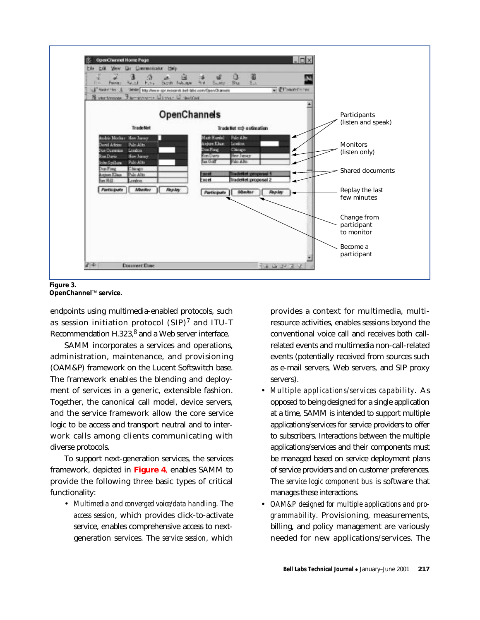

*OpenChannel*† *service.*

endpoints using multimedia-enabled protocols, such as session initiation protocol  $(SIP)^7$  and ITU-T Recommendation  $H.323$ ,  $8$  and a Web server interface.

SAMM incorporates a services and operations, administration, maintenance, and provisioning (OAM&P) framework on the Lucent Softswitch base. The framework enables the blending and deployment of services in a generic, extensible fashion. Together, the canonical call model, device servers, and the service framework allow the core service logic to be access and transport neutral and to interwork calls among clients communicating with diverse protocols.

To support next-generation services, the services framework, depicted in **Figure 4**, enables SAMM to provide the following three basic types of critical functionality:

• *Multimedia and converged voice/data handling*. The *access session*, which provides click-to-activate service, enables comprehensive access to nextgeneration services. The *service session*, which

provides a context for multimedia, multiresource activities, enables sessions beyond the conventional voice call and receives both callrelated events and multimedia non-call-related events (potentially received from sources such as e-mail servers, Web servers, and SIP proxy servers).

- *Multiple applications/services capability*. As opposed to being designed for a single application at a time, SAMM is intended to support multiple applications/services for service providers to offer to subscribers. Interactions between the multiple applications/services and their components must be managed based on service deployment plans of service providers and on customer preferences. The *service logic component bus* is software that manages these interactions.
- *OAM&P designed for multiple applications and programmability*. Provisioning, measurements, billing, and policy management are variously needed for new applications/services. The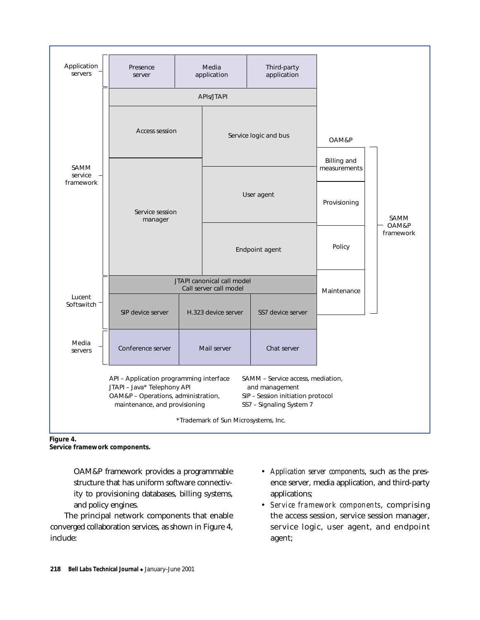

*Figure 4.*

*Service framework components.*

OAM&P framework provides a programmable structure that has uniform software connectivity to provisioning databases, billing systems, and policy engines.

The principal network components that enable converged collaboration services, as shown in Figure 4, include:

- *Application server components*, such as the presence server, media application, and third-party applications;
- *Service framework components*, comprising the access session, service session manager, service logic, user agent, and endpoint agent;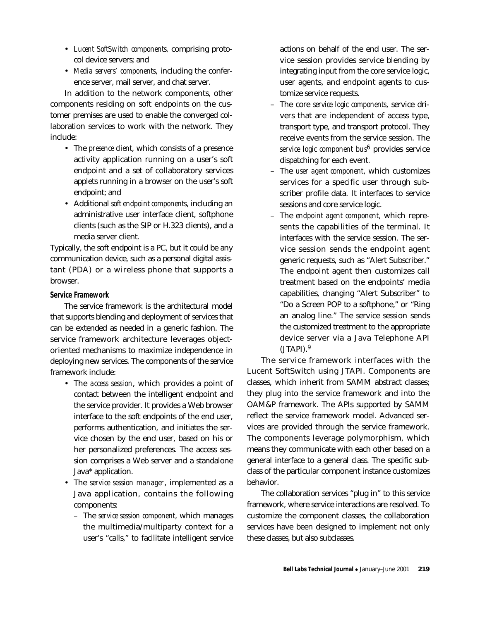- *Lucent SoftSwitch components,* comprising protocol device servers; and
- *Media servers' components*, including the conference server, mail server, and chat server.

In addition to the network components, other components residing on soft endpoints on the customer premises are used to enable the converged collaboration services to work with the network. They include:

- The *presence client*, which consists of a presence activity application running on a user's soft endpoint and a set of collaboratory services applets running in a browser on the user's soft endpoint; and
- Additional *soft endpoint components*, including an administrative user interface client, softphone clients (such as the SIP or H.323 clients), and a media server client.

Typically, the soft endpoint is a PC, but it could be any communication device, such as a personal digital assistant (PDA) or a wireless phone that supports a browser.

## **Service Framework**

The service framework is the architectural model that supports blending and deployment of services that can be extended as needed in a generic fashion. The service framework architecture leverages objectoriented mechanisms to maximize independence in deploying new services. The components of the service framework include:

- The *access session*, which provides a point of contact between the intelligent endpoint and the service provider. It provides a Web browser interface to the soft endpoints of the end user, performs authentication, and initiates the service chosen by the end user, based on his or her personalized preferences. The access session comprises a Web server and a standalone Java\* application.
- The *service session manager*, implemented as a Java application, contains the following components:
	- The *service session component*, which manages the multimedia/multiparty context for a user's "calls," to facilitate intelligent service

actions on behalf of the end user. The service session provides service blending by integrating input from the core service logic, user agents, and endpoint agents to customize service requests.

- The core *service logic components*, service drivers that are independent of access type, transport type, and transport protocol. They receive events from the service session. The *service logic component bus*<sup>6</sup> provides service dispatching for each event.
- The *user agent component*, which customizes services for a specific user through subscriber profile data. It interfaces to service sessions and core service logic.
- The *endpoint agent component*, which represents the capabilities of the terminal. It interfaces with the service session. The service session sends the endpoint agent generic requests, such as "Alert Subscriber." The endpoint agent then customizes call treatment based on the endpoints' media capabilities, changing "Alert Subscriber" to "Do a Screen POP to a softphone," or "Ring an analog line." The service session sends the customized treatment to the appropriate device server via a Java Telephone API  $(JTAPI).<sup>9</sup>$

The service framework interfaces with the Lucent SoftSwitch using JTAPI. Components are classes, which inherit from SAMM abstract classes; they plug into the service framework and into the OAM&P framework. The APIs supported by SAMM reflect the service framework model. Advanced services are provided through the service framework. The components leverage polymorphism, which means they communicate with each other based on a general interface to a general class. The specific subclass of the particular component instance customizes behavior.

The collaboration services "plug in" to this service framework, where service interactions are resolved. To customize the component classes, the collaboration services have been designed to implement not only these classes, but also subclasses.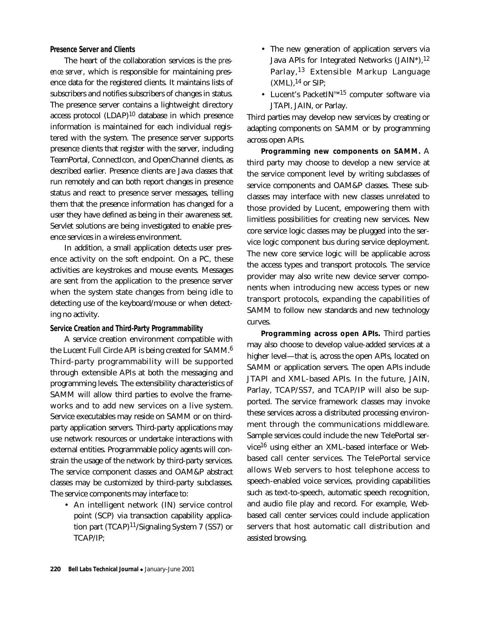**Presence Server and Clients**

The heart of the collaboration services is the *presence server*, which is responsible for maintaining presence data for the registered clients. It maintains lists of subscribers and notifies subscribers of changes in status. The presence server contains a lightweight directory access protocol (LDAP)<sup>10</sup> database in which presence information is maintained for each individual registered with the system. The presence server supports presence clients that register with the server, including TeamPortal, ConnectIcon, and OpenChannel clients, as described earlier. Presence clients are Java classes that run remotely and can both report changes in presence status and react to presence server messages, telling them that the presence information has changed for a user they have defined as being in their awareness set. Servlet solutions are being investigated to enable presence services in a wireless environment.

In addition, a small application detects user presence activity on the soft endpoint. On a PC, these activities are keystrokes and mouse events. Messages are sent from the application to the presence server when the system state changes from being idle to detecting use of the keyboard/mouse or when detecting no activity.

#### **Service Creation and Third-Party Programmability**

A service creation environment compatible with the Lucent Full Circle API is being created for SAMM.6 Third-party programmability will be supported through extensible APIs at both the messaging and programming levels. The extensibility characteristics of SAMM will allow third parties to evolve the frameworks and to add new services on a live system. Service executables may reside on SAMM or on thirdparty application servers. Third-party applications may use network resources or undertake interactions with external entities. Programmable policy agents will constrain the usage of the network by third-party services. The service component classes and OAM&P abstract classes may be customized by third-party subclasses. The service components may interface to:

• An intelligent network (IN) service control point (SCP) via transaction capability application part  $(TCAP)^{11}/$ Signaling System 7 (SS7) or TCAP/IP;

- The new generation of application servers via Java APIs for Integrated Networks (JAIN\*),<sup>12</sup> Parlay,13 Extensible Markup Language  $(XML)$ , <sup>14</sup> or SIP;
- Lucent's PacketIN<sup> $n15$ </sup> computer software via JTAPI, JAIN, or Parlay.

Third parties may develop new services by creating or adapting components on SAMM or by programming across open APIs.

**Programming new components on SAMM.** A third party may choose to develop a new service at the service component level by writing subclasses of service components and OAM&P classes. These subclasses may interface with new classes unrelated to those provided by Lucent, empowering them with limitless possibilities for creating new services. New core service logic classes may be plugged into the service logic component bus during service deployment. The new core service logic will be applicable across the access types and transport protocols. The service provider may also write new device server components when introducing new access types or new transport protocols, expanding the capabilities of SAMM to follow new standards and new technology curves.

**Programming across open APIs.** Third parties may also choose to develop value-added services at a higher level—that is, across the open APIs, located on SAMM or application servers. The open APIs include JTAPI and XML-based APIs. In the future, JAIN, Parlay, TCAP/SS7, and TCAP/IP will also be supported. The service framework classes may invoke these services across a distributed processing environment through the communications middleware. Sample services could include the new TelePortal service16 using either an XML-based interface or Webbased call center services. The TelePortal service allows Web servers to host telephone access to speech-enabled voice services, providing capabilities such as text-to-speech, automatic speech recognition, and audio file play and record. For example, Webbased call center services could include application servers that host automatic call distribution and assisted browsing.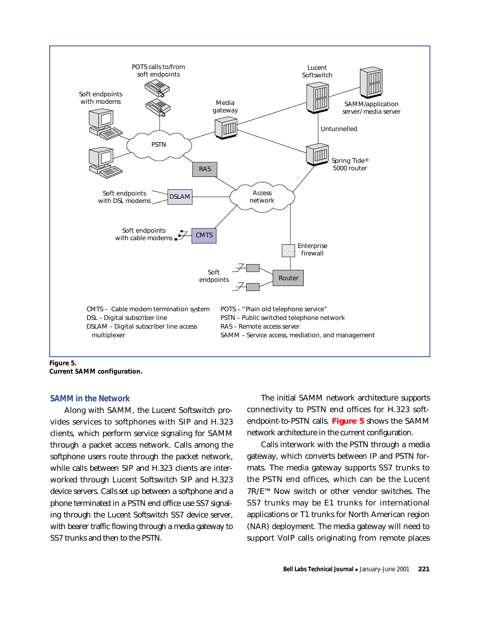

*Figure 5. Current SAMM configuration.*

# **SAMM in the Network**

Along with SAMM, the Lucent Softswitch provides services to softphones with SIP and H.323 clients, which perform service signaling for SAMM through a packet access network. Calls among the softphone users route through the packet network, while calls between SIP and H.323 clients are interworked through Lucent Softswitch SIP and H.323 device servers. Calls set up between a softphone and a phone terminated in a PSTN end office use SS7 signaling through the Lucent Softswitch SS7 device server, with bearer traffic flowing through a media gateway to SS7 trunks and then to the PSTN.

The initial SAMM network architecture supports connectivity to PSTN end offices for H.323 softendpoint-to-PSTN calls. **Figure 5** shows the SAMM network architecture in the current configuration.

Calls interwork with the PSTN through a media gateway, which converts between IP and PSTN formats. The media gateway supports SS7 trunks to the PSTN end offices, which can be the Lucent  $7R/E^{\tau M}$  Now switch or other vendor switches. The SS7 trunks may be E1 trunks for international applications or T1 trunks for North American region (NAR) deployment. The media gateway will need to support VoIP calls originating from remote places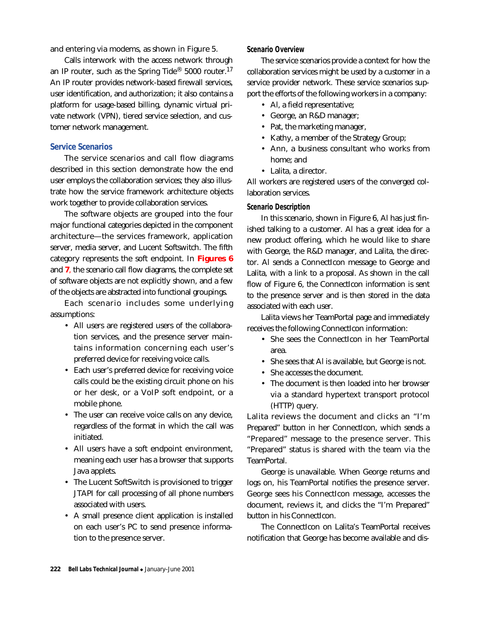and entering via modems, as shown in Figure 5.

Calls interwork with the access network through an IP router, such as the Spring Tide<sup>®</sup> 5000 router.<sup>17</sup> An IP router provides network-based firewall services, user identification, and authorization; it also contains a platform for usage-based billing, dynamic virtual private network (VPN), tiered service selection, and customer network management.

## **Service Scenarios**

The service scenarios and call flow diagrams described in this section demonstrate how the end user employs the collaboration services; they also illustrate how the service framework architecture objects work together to provide collaboration services.

The software objects are grouped into the four major functional categories depicted in the component architecture—the services framework, application server, media server, and Lucent Softswitch. The fifth category represents the soft endpoint. In **Figures 6** and **7**, the scenario call flow diagrams, the complete set of software objects are not explicitly shown, and a few of the objects are abstracted into functional groupings.

Each scenario includes some underlying assumptions:

- All users are registered users of the collaboration services, and the presence server maintains information concerning each user's preferred device for receiving voice calls.
- Each user's preferred device for receiving voice calls could be the existing circuit phone on his or her desk, or a VoIP soft endpoint, or a mobile phone.
- The user can receive voice calls on any device, regardless of the format in which the call was initiated.
- All users have a soft endpoint environment, meaning each user has a browser that supports Java applets.
- The Lucent SoftSwitch is provisioned to trigger JTAPI for call processing of all phone numbers associated with users.
- A small presence client application is installed on each user's PC to send presence information to the presence server.

# **Scenario Overview**

The service scenarios provide a context for how the collaboration services might be used by a customer in a service provider network. These service scenarios support the efforts of the following workers in a company:

- Al, a field representative;
- George, an R&D manager;
- Pat, the marketing manager,
- Kathy, a member of the Strategy Group;
- Ann, a business consultant who works from home; and
- Lalita, a director.

All workers are registered users of the converged collaboration services.

## **Scenario Description**

In this scenario, shown in Figure 6, Al has just finished talking to a customer. Al has a great idea for a new product offering, which he would like to share with George, the R&D manager, and Lalita, the director. Al sends a ConnectIcon message to George and Lalita, with a link to a proposal. As shown in the call flow of Figure 6, the ConnectIcon information is sent to the presence server and is then stored in the data associated with each user.

Lalita views her TeamPortal page and immediately receives the following ConnectIcon information:

- She sees the ConnectIcon in her TeamPortal area.
- She sees that Al is available, but George is not.
- She accesses the document.
- The document is then loaded into her browser via a standard hypertext transport protocol (HTTP) query.

Lalita reviews the document and clicks an "I'm Prepared" button in her ConnectIcon, which sends a "Prepared" message to the presence server. This "Prepared" status is shared with the team via the TeamPortal.

George is unavailable. When George returns and logs on, his TeamPortal notifies the presence server. George sees his ConnectIcon message, accesses the document, reviews it, and clicks the "I'm Prepared" button in his ConnectIcon.

The ConnectIcon on Lalita's TeamPortal receives notification that George has become available and dis-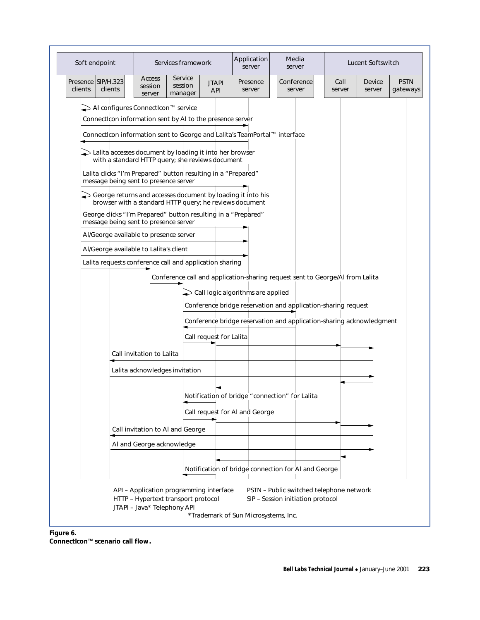| Connecticon information sent by AI to the presence server | → Al configures ConnectIcon™ service | server                                 |         | <b>API</b>                                                                                                                   | Presence<br>server                                                                                                                      | Conference<br>server              | Call<br>server                           | Device<br>server | <b>PSTN</b><br>gateways |
|-----------------------------------------------------------|--------------------------------------|----------------------------------------|---------|------------------------------------------------------------------------------------------------------------------------------|-----------------------------------------------------------------------------------------------------------------------------------------|-----------------------------------|------------------------------------------|------------------|-------------------------|
|                                                           |                                      |                                        | manager |                                                                                                                              |                                                                                                                                         |                                   |                                          |                  |                         |
|                                                           |                                      |                                        |         |                                                                                                                              |                                                                                                                                         |                                   |                                          |                  |                         |
|                                                           |                                      |                                        |         |                                                                                                                              | Connecticon information sent to George and Lalita's TeamPortal™ interface                                                               |                                   |                                          |                  |                         |
|                                                           |                                      |                                        |         |                                                                                                                              |                                                                                                                                         |                                   |                                          |                  |                         |
|                                                           |                                      |                                        |         | $\triangleright$ Lalita accesses document by loading it into her browser<br>with a standard HTTP query; she reviews document |                                                                                                                                         |                                   |                                          |                  |                         |
|                                                           |                                      |                                        |         | Lalita clicks "I'm Prepared" button resulting in a "Prepared"                                                                |                                                                                                                                         |                                   |                                          |                  |                         |
|                                                           |                                      | message being sent to presence server  |         |                                                                                                                              |                                                                                                                                         |                                   |                                          |                  |                         |
|                                                           |                                      |                                        |         |                                                                                                                              | $\triangleright$ George returns and accesses document by loading it into his<br>browser with a standard HTTP query; he reviews document |                                   |                                          |                  |                         |
|                                                           |                                      | message being sent to presence server  |         |                                                                                                                              | George clicks "I'm Prepared" button resulting in a "Prepared"                                                                           |                                   |                                          |                  |                         |
|                                                           |                                      | Al/George available to presence server |         |                                                                                                                              |                                                                                                                                         |                                   |                                          |                  |                         |
|                                                           |                                      | Al/George available to Lalita's client |         |                                                                                                                              |                                                                                                                                         |                                   |                                          |                  |                         |
|                                                           |                                      |                                        |         | Lalita requests conference call and application sharing                                                                      |                                                                                                                                         |                                   |                                          |                  |                         |
|                                                           |                                      |                                        |         |                                                                                                                              | Conference call and application-sharing request sent to George/AI from Lalita                                                           |                                   |                                          |                  |                         |
|                                                           |                                      |                                        |         |                                                                                                                              | $\triangleright$ Call logic algorithms are applied                                                                                      |                                   |                                          |                  |                         |
|                                                           |                                      |                                        |         |                                                                                                                              | Conference bridge reservation and application-sharing request                                                                           |                                   |                                          |                  |                         |
|                                                           |                                      |                                        |         |                                                                                                                              | Conference bridge reservation and application-sharing acknowledgment                                                                    |                                   |                                          |                  |                         |
|                                                           |                                      |                                        |         | Call request for Lalita                                                                                                      |                                                                                                                                         |                                   |                                          |                  |                         |
|                                                           |                                      | Call invitation to Lalita              |         |                                                                                                                              |                                                                                                                                         |                                   |                                          |                  |                         |
|                                                           |                                      | Lalita acknowledges invitation         |         |                                                                                                                              |                                                                                                                                         |                                   |                                          |                  |                         |
|                                                           |                                      |                                        |         |                                                                                                                              |                                                                                                                                         |                                   |                                          |                  |                         |
|                                                           |                                      |                                        |         |                                                                                                                              | Notification of bridge "connection" for Lalita                                                                                          |                                   |                                          |                  |                         |
|                                                           |                                      |                                        |         |                                                                                                                              | Call request for AI and George                                                                                                          |                                   |                                          |                  |                         |
|                                                           |                                      | Call invitation to Al and George       |         |                                                                                                                              |                                                                                                                                         |                                   |                                          |                  |                         |
|                                                           |                                      |                                        |         |                                                                                                                              |                                                                                                                                         |                                   |                                          |                  |                         |
|                                                           |                                      | Al and George acknowledge              |         |                                                                                                                              |                                                                                                                                         |                                   |                                          |                  |                         |
|                                                           |                                      |                                        |         |                                                                                                                              | Notification of bridge connection for AI and George                                                                                     |                                   |                                          |                  |                         |
|                                                           |                                      |                                        |         |                                                                                                                              |                                                                                                                                         |                                   |                                          |                  |                         |
|                                                           |                                      | HTTP - Hypertext transport protocol    |         | API - Application programming interface                                                                                      |                                                                                                                                         | SIP - Session initiation protocol | PSTN - Public switched telephone network |                  |                         |

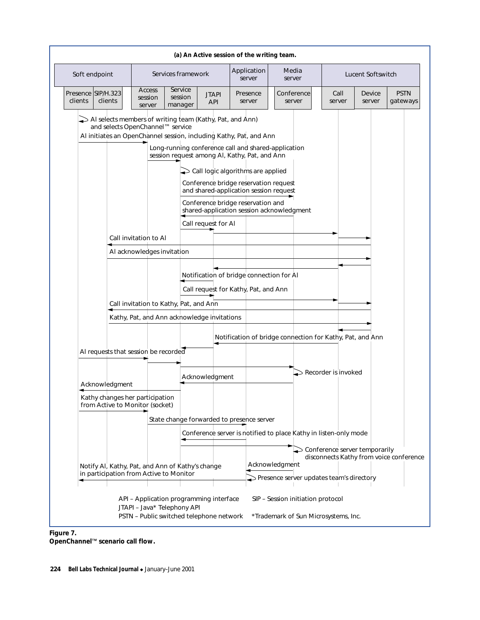



**OpenChanne<sup>[™</sup> scenario call flow.**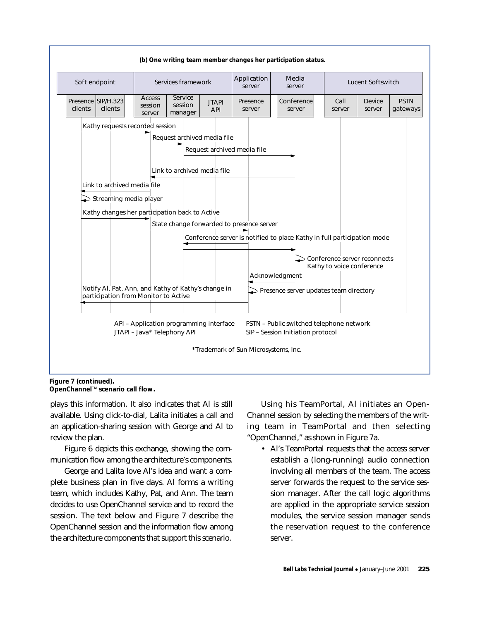

**OpenChanne<sup>[™</sup> scenario call flow.** 

plays this information. It also indicates that Al is still available. Using click-to-dial, Lalita initiates a call and an application-sharing session with George and Al to review the plan.

Figure 6 depicts this exchange, showing the communication flow among the architecture's components.

George and Lalita love Al's idea and want a complete business plan in five days. Al forms a writing team, which includes Kathy, Pat, and Ann. The team decides to use OpenChannel service and to record the session. The text below and Figure 7 describe the OpenChannel session and the information flow among the architecture components that support this scenario.

Using his TeamPortal, Al initiates an Open-Channel session by selecting the members of the writing team in TeamPortal and then selecting "OpenChannel," as shown in Figure 7a.

• Al's TeamPortal requests that the access server establish a (long-running) audio connection involving all members of the team. The access server forwards the request to the service session manager. After the call logic algorithms are applied in the appropriate service session modules, the service session manager sends the reservation request to the conference server.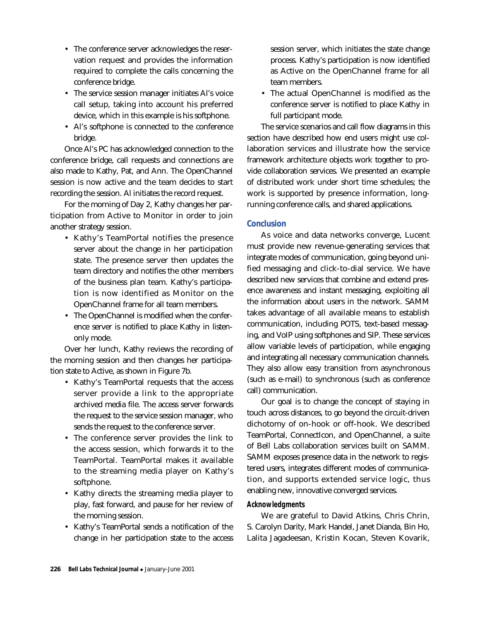- The conference server acknowledges the reservation request and provides the information required to complete the calls concerning the conference bridge.
- The service session manager initiates Al's voice call setup, taking into account his preferred device, which in this example is his softphone.
- Al's softphone is connected to the conference bridge.

Once Al's PC has acknowledged connection to the conference bridge, call requests and connections are also made to Kathy, Pat, and Ann. The OpenChannel session is now active and the team decides to start recording the session. Al initiates the record request.

For the morning of Day 2, Kathy changes her participation from Active to Monitor in order to join another strategy session.

- Kathy's TeamPortal notifies the presence server about the change in her participation state. The presence server then updates the team directory and notifies the other members of the business plan team. Kathy's participation is now identified as Monitor on the OpenChannel frame for all team members.
- The OpenChannel is modified when the conference server is notified to place Kathy in listenonly mode.

Over her lunch, Kathy reviews the recording of the morning session and then changes her participation state to Active, as shown in Figure 7b.

- Kathy's TeamPortal requests that the access server provide a link to the appropriate archived media file. The access server forwards the request to the service session manager, who sends the request to the conference server.
- The conference server provides the link to the access session, which forwards it to the TeamPortal. TeamPortal makes it available to the streaming media player on Kathy's softphone.
- Kathy directs the streaming media player to play, fast forward, and pause for her review of the morning session.
- Kathy's TeamPortal sends a notification of the change in her participation state to the access

session server, which initiates the state change process. Kathy's participation is now identified as Active on the OpenChannel frame for all team members.

• The actual OpenChannel is modified as the conference server is notified to place Kathy in full participant mode.

The service scenarios and call flow diagrams in this section have described how end users might use collaboration services and illustrate how the service framework architecture objects work together to provide collaboration services. We presented an example of distributed work under short time schedules; the work is supported by presence information, longrunning conference calls, and shared applications.

# **Conclusion**

As voice and data networks converge, Lucent must provide new revenue-generating services that integrate modes of communication, going beyond unified messaging and click-to-dial service. We have described new services that combine and extend presence awareness and instant messaging, exploiting all the information about users in the network. SAMM takes advantage of all available means to establish communication, including POTS, text-based messaging, and VoIP using softphones and SIP. These services allow variable levels of participation, while engaging and integrating all necessary communication channels. They also allow easy transition from asynchronous (such as e-mail) to synchronous (such as conference call) communication.

Our goal is to change the concept of staying in touch across distances, to go beyond the circuit-driven dichotomy of on-hook or off-hook. We described TeamPortal, ConnectIcon, and OpenChannel, a suite of Bell Labs collaboration services built on SAMM. SAMM exposes presence data in the network to registered users, integrates different modes of communication, and supports extended service logic, thus enabling new, innovative converged services.

# **Acknowledgments**

We are grateful to David Atkins, Chris Chrin, S. Carolyn Darity, Mark Handel, Janet Dianda, Bin Ho, Lalita Jagadeesan, Kristin Kocan, Steven Kovarik,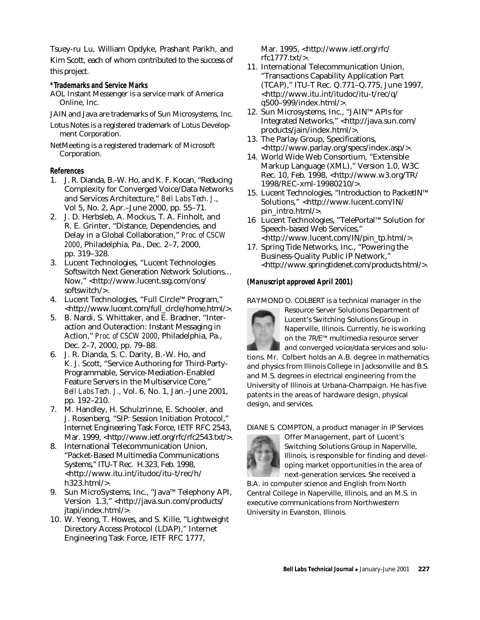Tsuey-ru Lu, William Opdyke, Prashant Parikh, and Kim Scott, each of whom contributed to the success of this project.

- **\*Trademarks and Service Marks**
- AOL Instant Messenger is a service mark of America Online, Inc.

JAIN and Java are trademarks of Sun Microsystems, Inc.

- Lotus Notes is a registered trademark of Lotus Development Corporation.
- NetMeeting is a registered trademark of Microsoft Corporation.

## **References**

- 1. J. R. Dianda, B.-W. Ho, and K. F. Kocan, "Reducing Complexity for Converged Voice/Data Networks and Services Architecture," *Bell Labs Tech. J.*, Vol 5, No. 2, Apr.–June 2000, pp. 55–71.
- 2. J. D. Herbsleb, A. Mockus, T. A. Finholt, and R. E. Grinter, "Distance, Dependencies, and Delay in a Global Collaboration," *Proc. of CSCW 2000*, Philadelphia, Pa., Dec. 2–7, 2000, pp. 319–328.
- 3. Lucent Technologies, "Lucent Technologies Softswitch Next Generation Network Solutions… Now," <http://www.lucent.ssg.com/ons/ softswitch/>.
- 4. Lucent Technologies, "Full Circle™ Program." <http://www.lucent.com/full\_circle/home.html/>.
- 5. B. Nardi, S. Whittaker, and E. Bradner, "Interaction and Outeraction: Instant Messaging in Action," *Proc. of CSCW 2000*, Philadelphia, Pa., Dec. 2–7, 2000, pp. 79–88.
- 6. J. R. Dianda, S. C. Darity, B.-W. Ho, and K. J. Scott, "Service Authoring for Third-Party-Programmable, Service-Mediation-Enabled Feature Servers in the Multiservice Core," *Bell Labs Tech. J.,* Vol. 6, No. 1, Jan.–June 2001, pp. 192–210.
- 7. M. Handley, H. Schulzrinne, E. Schooler, and J. Rosenberg, "SIP: Session Initiation Protocol," Internet Engineering Task Force, IETF RFC 2543, Mar. 1999, <http://www.ietf.org/rfc/rfc2543.txt/>.
- 8. International Telecommunication Union, "Packet-Based Multimedia Communications Systems," ITU-T Rec. H.323, Feb. 1998, <http://www.itu.int/itudoc/itu-t/rec/h/ h323.html/>.
- 9. Sun MicroSystems, Inc., "Java™ Telephony API, Version 1.3," <http://java.sun.com/products/ jtapi/index.html/>.
- 10. W. Yeong, T. Howes, and S. Kille, "Lightweight Directory Access Protocol (LDAP)," Internet Engineering Task Force, IETF RFC 1777,

Mar. 1995, <http://www.ietf.org/rfc/ rfc1777.txt/>.

- 11. International Telecommunication Union, "Transactions Capability Application Part (TCAP)," ITU-T Rec. Q.771–Q.775, June 1997, <http://www.itu.int/itudoc/itu-t/rec/q/ q500–999/index.html/>.
- 12. Sun Microsystems, Inc., "JAIN™ APIs for Integrated Networks," <http://java.sun.com/ products/jain/index.html/>.
- 13. The Parlay Group, Specifications, <http://www.parlay.org/specs/index.asp/>.
- 14. World Wide Web Consortium, "Extensible Markup Language (XML)," Version 1.0, W3C Rec. 10, Feb. 1998, <http://www.w3.org/TR/ 1998/REC-xml-19980210/>.
- 15. Lucent Technologies, "Introduction to PacketIN<sup>™</sup> Solutions," <http://www.lucent.com/IN/ pin\_intro.html/>.
- 16 Lucent Technologies, "TelePortal™ Solution for Speech-based Web Services," <http://www.lucent.com/IN/pin\_tp.html/>.
- 17. Spring Tide Networks, Inc., "Powering the Business-Quality Public IP Network," <http://www.springtidenet.com/products.html/>.

# *(Manuscript approved April 2001)*

*RAYMOND O. COLBERT is a technical manager in the*



*Resource Server Solutions Department of Lucent's Switching Solutions Group in Naperville, Illinois. Currently, he is working on the 7R/E*† *multimedia resource server and converged voice/data services and solu-*

*tions. Mr. Colbert holds an A.B. degree in mathematics and physics from Illinois College in Jacksonville and B.S. and M.S. degrees in electrical engineering from the University of Illinois at Urbana-Champaign. He has five patents in the areas of hardware design, physical design, and services.*

*DIANE S. COMPTON, a product manager in IP Services*



*Offer Management, part of Lucent's Switching Solutions Group in Naperville, Illinois, is responsible for finding and developing market opportunities in the area of next-generation services. She received a*

*B.A. in computer science and English from North Central College in Naperville, Illinois, and an M.S. in executive communications from Northwestern University in Evanston, Illinois.*